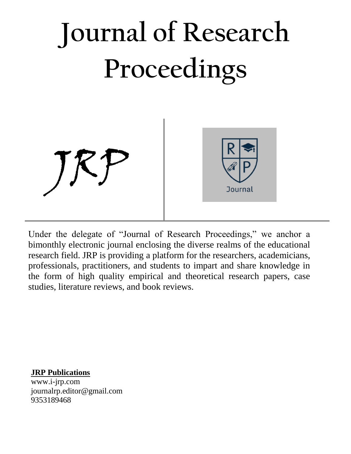

Under the delegate of "Journal of Research Proceedings," we anchor a bimonthly electronic journal enclosing the diverse realms of the educational research field. JRP is providing a platform for the researchers, academicians, professionals, practitioners, and students to impart and share knowledge in the form of high quality empirical and theoretical research papers, case studies, literature reviews, and book reviews.

**JRP Publications** [www.i-jrp.com](http://www.i-jrp.com/) [journalrp.editor@gmail.com](mailto:journalrp.editor@gmail.com) 9353189468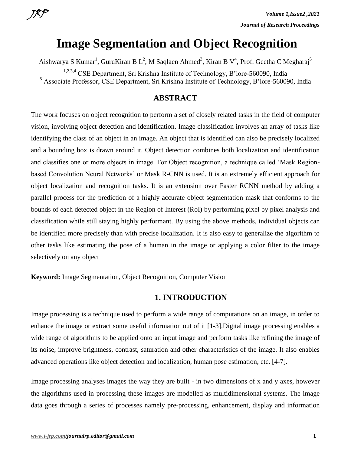# **Image Segmentation and Object Recognition**

Aishwarya S Kumar<sup>1</sup>, GuruKiran B L<sup>2</sup>, M Saqlaen Ahmed<sup>3</sup>, Kiran B V<sup>4</sup>, Prof. Geetha C Megharaj<sup>5</sup>

1,2,3,4 CSE Department, Sri Krishna Institute of Technology, B'lore-560090, India

<sup>5</sup> Associate Professor, CSE Department, Sri Krishna Institute of Technology, B'lore-560090, India

#### **ABSTRACT**

The work focuses on object recognition to perform a set of closely related tasks in the field of computer vision, involving object detection and identification. Image classification involves an array of tasks like identifying the class of an object in an image. An object that is identified can also be precisely localized and a bounding box is drawn around it. Object detection combines both localization and identification and classifies one or more objects in image. For Object recognition, a technique called 'Mask Regionbased Convolution Neural Networks' or Mask R-CNN is used. It is an extremely efficient approach for object localization and recognition tasks. It is an extension over Faster RCNN method by adding a parallel process for the prediction of a highly accurate object segmentation mask that conforms to the bounds of each detected object in the Region of Interest (RoI) by performing pixel by pixel analysis and classification while still staying highly performant. By using the above methods, individual objects can be identified more precisely than with precise localization. It is also easy to generalize the algorithm to other tasks like estimating the pose of a human in the image or applying a color filter to the image selectively on any object

**Keyword:** Image Segmentation, Object Recognition, Computer Vision

#### **1. INTRODUCTION**

Image processing is a technique used to perform a wide range of computations on an image, in order to enhance the image or extract some useful information out of it [1-3].Digital image processing enables a wide range of algorithms to be applied onto an input image and perform tasks like refining the image of its noise, improve brightness, contrast, saturation and other characteristics of the image. It also enables advanced operations like object detection and localization, human pose estimation, etc. [4-7].

Image processing analyses images the way they are built - in two dimensions of x and y axes, however the algorithms used in processing these images are modelled as multidimensional systems. The image data goes through a series of processes namely pre-processing, enhancement, display and information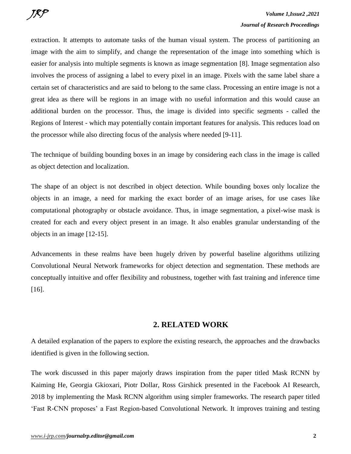extraction. It attempts to automate tasks of the human visual system. The process of partitioning an image with the aim to simplify, and change the representation of the image into something which is easier for analysis into multiple segments is known as image segmentation [8]. Image segmentation also involves the process of assigning a label to every pixel in an image. Pixels with the same label share a certain set of characteristics and are said to belong to the same class. Processing an entire image is not a great idea as there will be regions in an image with no useful information and this would cause an additional burden on the processor. Thus, the image is divided into specific segments - called the Regions of Interest - which may potentially contain important features for analysis. This reduces load on the processor while also directing focus of the analysis where needed [9-11].

The technique of building bounding boxes in an image by considering each class in the image is called as object detection and localization.

The shape of an object is not described in object detection. While bounding boxes only localize the objects in an image, a need for marking the exact border of an image arises, for use cases like computational photography or obstacle avoidance. Thus, in image segmentation, a pixel-wise mask is created for each and every object present in an image. It also enables granular understanding of the objects in an image [12-15].

Advancements in these realms have been hugely driven by powerful baseline algorithms utilizing Convolutional Neural Network frameworks for object detection and segmentation. These methods are conceptually intuitive and offer flexibility and robustness, together with fast training and inference time [16].

## **2. RELATED WORK**

A detailed explanation of the papers to explore the existing research, the approaches and the drawbacks identified is given in the following section.

The work discussed in this paper majorly draws inspiration from the paper titled Mask RCNN by Kaiming He, Georgia Gkioxari, Piotr Dollar, Ross Girshick presented in the Facebook AI Research, 2018 by implementing the Mask RCNN algorithm using simpler frameworks. The research paper titled 'Fast R-CNN proposes' a Fast Region-based Convolutional Network. It improves training and testing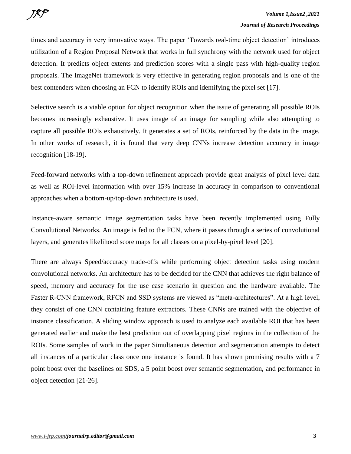times and accuracy in very innovative ways. The paper 'Towards real-time object detection' introduces utilization of a Region Proposal Network that works in full synchrony with the network used for object detection. It predicts object extents and prediction scores with a single pass with high-quality region proposals. The ImageNet framework is very effective in generating region proposals and is one of the best contenders when choosing an FCN to identify ROIs and identifying the pixel set [17].

Selective search is a viable option for object recognition when the issue of generating all possible ROIs becomes increasingly exhaustive. It uses image of an image for sampling while also attempting to capture all possible ROIs exhaustively. It generates a set of ROIs, reinforced by the data in the image. In other works of research, it is found that very deep CNNs increase detection accuracy in image recognition [18-19].

Feed-forward networks with a top-down refinement approach provide great analysis of pixel level data as well as ROI-level information with over 15% increase in accuracy in comparison to conventional approaches when a bottom-up/top-down architecture is used.

Instance-aware semantic image segmentation tasks have been recently implemented using Fully Convolutional Networks. An image is fed to the FCN, where it passes through a series of convolutional layers, and generates likelihood score maps for all classes on a pixel-by-pixel level [20].

There are always Speed/accuracy trade-offs while performing object detection tasks using modern convolutional networks. An architecture has to be decided for the CNN that achieves the right balance of speed, memory and accuracy for the use case scenario in question and the hardware available. The Faster R-CNN framework, RFCN and SSD systems are viewed as "meta-architectures". At a high level, they consist of one CNN containing feature extractors. These CNNs are trained with the objective of instance classification. A sliding window approach is used to analyze each available ROI that has been generated earlier and make the best prediction out of overlapping pixel regions in the collection of the ROIs. Some samples of work in the paper Simultaneous detection and segmentation attempts to detect all instances of a particular class once one instance is found. It has shown promising results with a 7 point boost over the baselines on SDS, a 5 point boost over semantic segmentation, and performance in object detection [21-26].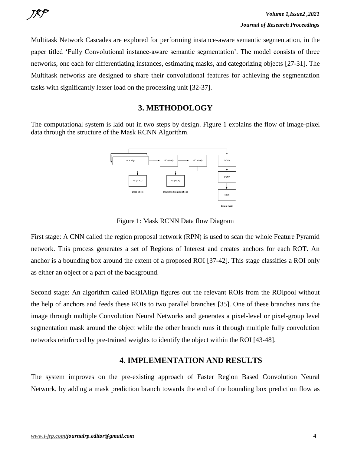Multitask Network Cascades are explored for performing instance-aware semantic segmentation, in the paper titled 'Fully Convolutional instance-aware semantic segmentation'. The model consists of three networks, one each for differentiating instances, estimating masks, and categorizing objects [27-31]. The Multitask networks are designed to share their convolutional features for achieving the segmentation tasks with significantly lesser load on the processing unit [32-37].

### **3. METHODOLOGY**

The computational system is laid out in two steps by design. Figure 1 explains the flow of image-pixel data through the structure of the Mask RCNN Algorithm.



Figure 1: Mask RCNN Data flow Diagram

First stage: A CNN called the region proposal network (RPN) is used to scan the whole Feature Pyramid network. This process generates a set of Regions of Interest and creates anchors for each ROT. An anchor is a bounding box around the extent of a proposed ROI [37-42]. This stage classifies a ROI only as either an object or a part of the background.

Second stage: An algorithm called ROIAlign figures out the relevant ROIs from the ROIpool without the help of anchors and feeds these ROIs to two parallel branches [35]. One of these branches runs the image through multiple Convolution Neural Networks and generates a pixel-level or pixel-group level segmentation mask around the object while the other branch runs it through multiple fully convolution networks reinforced by pre-trained weights to identify the object within the ROI [43-48].

## **4. IMPLEMENTATION AND RESULTS**

The system improves on the pre-existing approach of Faster Region Based Convolution Neural Network, by adding a mask prediction branch towards the end of the bounding box prediction flow as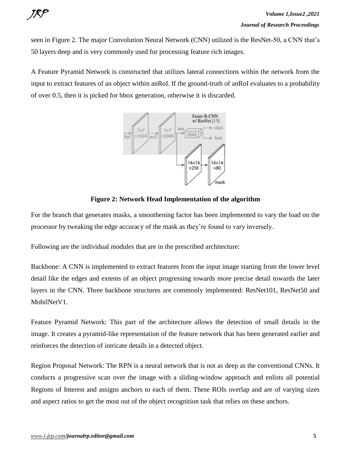

seen in Figure 2. The major Convolution Neural Network (CNN) utilized is the ResNet-50, a CNN that's 50 layers deep and is very commonly used for processing feature rich images.

A Feature Pyramid Network is constructed that utilizes lateral connections within the network from the input to extract features of an object within anRoI. If the ground-truth of anRoI evaluates to a probability of over 0.5, then it is picked for bbox generation, otherwise it is discarded.



**Figure 2: Network Head Implementation of the algorithm**

For the branch that generates masks, a smoothening factor has been implemented to vary the load on the processor by tweaking the edge accuracy of the mask as they're found to vary inversely.

Following are the individual modules that are in the prescribed architecture:

Backbone: A CNN is implemented to extract features from the input image starting from the lower level detail like the edges and extents of an object progressing towards more precise detail towards the later layers in the CNN. Three backbone structures are commonly implemented: ResNet101, ResNet50 and MobilNetV1.

Feature Pyramid Network: This part of the architecture allows the detection of small details in the image. It creates a pyramid-like representation of the feature network that has been generated earlier and reinforces the detection of intricate details in a detected object.

Region Proposal Network: The RPN is a neural network that is not as deep as the conventional CNNs. It conducts a progressive scan over the image with a sliding-window approach and enlists all potential Regions of Interest and assigns anchors to each of them. These ROIs overlap and are of varying sizes and aspect ratios to get the most out of the object recognition task that relies on these anchors.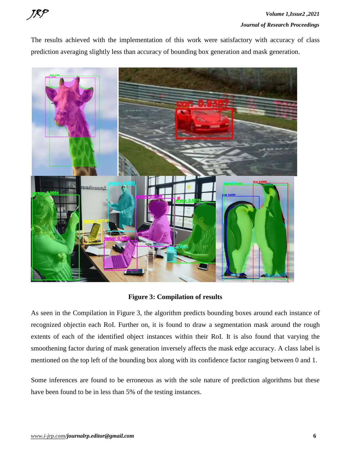

The results achieved with the implementation of this work were satisfactory with accuracy of class prediction averaging slightly less than accuracy of bounding box generation and mask generation.



**Figure 3: Compilation of results**

As seen in the Compilation in Figure 3, the algorithm predicts bounding boxes around each instance of recognized objectin each RoI. Further on, it is found to draw a segmentation mask around the rough extents of each of the identified object instances within their RoI. It is also found that varying the smoothening factor during of mask generation inversely affects the mask edge accuracy. A class label is mentioned on the top left of the bounding box along with its confidence factor ranging between 0 and 1.

Some inferences are found to be erroneous as with the sole nature of prediction algorithms but these have been found to be in less than 5% of the testing instances.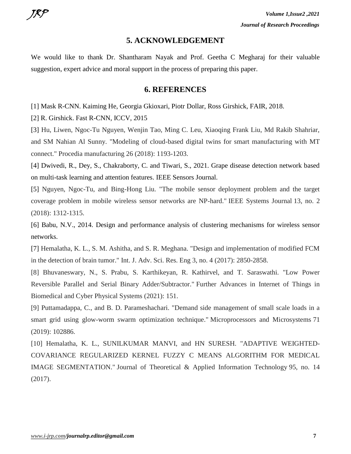#### **5. ACKNOWLEDGEMENT**

We would like to thank Dr. Shantharam Nayak and Prof. Geetha C Megharaj for their valuable suggestion, expert advice and moral support in the process of preparing this paper.

#### **6. REFERENCES**

[1] Mask R-CNN. Kaiming He, Georgia Gkioxari, Piotr Dollar, Ross Girshick, FAIR, 2018.

[2] R. Girshick. Fast R-CNN, ICCV, 2015

[3] Hu, Liwen, Ngoc-Tu Nguyen, Wenjin Tao, Ming C. Leu, Xiaoqing Frank Liu, Md Rakib Shahriar, and SM Nahian Al Sunny. "Modeling of cloud-based digital twins for smart manufacturing with MT connect." Procedia manufacturing 26 (2018): 1193-1203.

[4] Dwivedi, R., Dey, S., Chakraborty, C. and Tiwari, S., 2021. Grape disease detection network based on multi-task learning and attention features. IEEE Sensors Journal.

[5] Nguyen, Ngoc-Tu, and Bing-Hong Liu. "The mobile sensor deployment problem and the target coverage problem in mobile wireless sensor networks are NP-hard." IEEE Systems Journal 13, no. 2 (2018): 1312-1315.

[6] Babu, N.V., 2014. Design and performance analysis of clustering mechanisms for wireless sensor networks.

[7] Hemalatha, K. L., S. M. Ashitha, and S. R. Meghana. "Design and implementation of modified FCM in the detection of brain tumor." Int. J. Adv. Sci. Res. Eng 3, no. 4 (2017): 2850-2858.

[8] Bhuvaneswary, N., S. Prabu, S. Karthikeyan, R. Kathirvel, and T. Saraswathi. "Low Power Reversible Parallel and Serial Binary Adder/Subtractor." Further Advances in Internet of Things in Biomedical and Cyber Physical Systems (2021): 151.

[9] Puttamadappa, C., and B. D. Parameshachari. "Demand side management of small scale loads in a smart grid using glow-worm swarm optimization technique." Microprocessors and Microsystems 71 (2019): 102886.

[10] Hemalatha, K. L., SUNILKUMAR MANVI, and HN SURESH. "ADAPTIVE WEIGHTED-COVARIANCE REGULARIZED KERNEL FUZZY C MEANS ALGORITHM FOR MEDICAL IMAGE SEGMENTATION." Journal of Theoretical & Applied Information Technology 95, no. 14 (2017).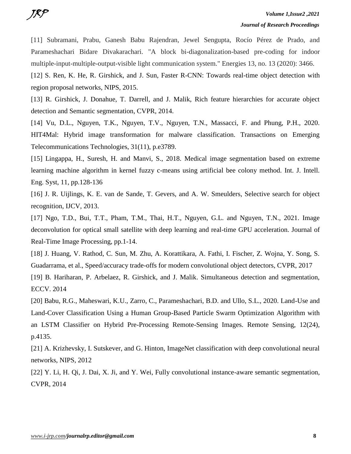[11] Subramani, Prabu, Ganesh Babu Rajendran, Jewel Sengupta, Rocío Pérez de Prado, and Parameshachari Bidare Divakarachari. "A block bi-diagonalization-based pre-coding for indoor multiple-input-multiple-output-visible light communication system." Energies 13, no. 13 (2020): 3466.

[12] S. Ren, K. He, R. Girshick, and J. Sun, Faster R-CNN: Towards real-time object detection with region proposal networks, NIPS, 2015.

[13] R. Girshick, J. Donahue, T. Darrell, and J. Malik, Rich feature hierarchies for accurate object detection and Semantic segmentation, CVPR, 2014.

[14] Vu, D.L., Nguyen, T.K., Nguyen, T.V., Nguyen, T.N., Massacci, F. and Phung, P.H., 2020. HIT4Mal: Hybrid image transformation for malware classification. Transactions on Emerging Telecommunications Technologies, 31(11), p.e3789.

[15] Lingappa, H., Suresh, H. and Manvi, S., 2018. Medical image segmentation based on extreme learning machine algorithm in kernel fuzzy c-means using artificial bee colony method. Int. J. Intell. Eng. Syst, 11, pp.128-136

[16] J. R. Uijlings, K. E. van de Sande, T. Gevers, and A. W. Smeulders, Selective search for object recognition, IJCV, 2013.

[17] Ngo, T.D., Bui, T.T., Pham, T.M., Thai, H.T., Nguyen, G.L. and Nguyen, T.N., 2021. Image deconvolution for optical small satellite with deep learning and real-time GPU acceleration. Journal of Real-Time Image Processing, pp.1-14.

[18] J. Huang, V. Rathod, C. Sun, M. Zhu, A. Korattikara, A. Fathi, I. Fischer, Z. Wojna, Y. Song, S. Guadarrama, et al., Speed/accuracy trade-offs for modern convolutional object detectors, CVPR, 2017

[19] B. Hariharan, P. Arbelaez, R. Girshick, and J. Malik. Simultaneous detection and segmentation, ECCV. 2014

[20] Babu, R.G., Maheswari, K.U., Zarro, C., Parameshachari, B.D. and Ullo, S.L., 2020. Land-Use and Land-Cover Classification Using a Human Group-Based Particle Swarm Optimization Algorithm with an LSTM Classifier on Hybrid Pre-Processing Remote-Sensing Images. Remote Sensing, 12(24), p.4135.

[21] A. Krizhevsky, I. Sutskever, and G. Hinton, ImageNet classification with deep convolutional neural networks, NIPS, 2012

[22] Y. Li, H. Qi, J. Dai, X. Ji, and Y. Wei, Fully convolutional instance-aware semantic segmentation, CVPR, 2014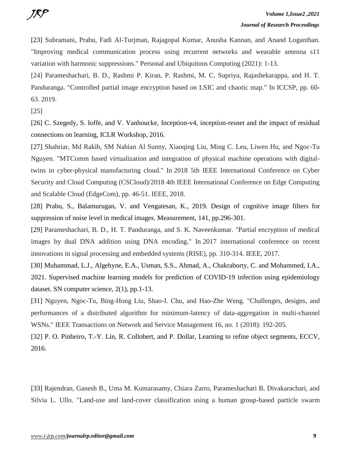[23] Subramani, Prabu, Fadi Al-Turjman, Rajagopal Kumar, Anusha Kannan, and Anand Loganthan. "Improving medical communication process using recurrent networks and wearable antenna s11 variation with harmonic suppressions." Personal and Ubiquitous Computing (2021): 1-13.

[24] Parameshachari, B. D., Rashmi P. Kiran, P. Rashmi, M. C. Supriya, Rajashekarappa, and H. T. Panduranga. "Controlled partial image encryption based on LSIC and chaotic map." In ICCSP, pp. 60- 63. 2019.

[25]

[26] C. Szegedy, S. Ioffe, and V. Vanhoucke, Inception-v4, inception-resnet and the impact of residual connections on learning, ICLR Workshop, 2016.

[27] Shahriar, Md Rakib, SM Nahian Al Sunny, Xiaoqing Liu, Ming C. Leu, Liwen Hu, and Ngoc-Tu Nguyen. "MTComm based virtualization and integration of physical machine operations with digitaltwins in cyber-physical manufacturing cloud." In 2018 5th IEEE International Conference on Cyber Security and Cloud Computing (CSCloud)/2018 4th IEEE International Conference on Edge Computing and Scalable Cloud (EdgeCom), pp. 46-51. IEEE, 2018.

[28] Prabu, S., Balamurugan, V. and Vengatesan, K., 2019. Design of cognitive image filters for suppression of noise level in medical images. Measurement, 141, pp.296-301.

[29] Parameshachari, B. D., H. T. Panduranga, and S. K. Naveenkumar. "Partial encryption of medical images by dual DNA addition using DNA encoding." In 2017 international conference on recent innovations in signal processing and embedded systems (RISE), pp. 310-314. IEEE, 2017.

[30] Muhammad, L.J., Algehyne, E.A., Usman, S.S., Ahmad, A., Chakraborty, C. and Mohammed, I.A., 2021. Supervised machine learning models for prediction of COVID-19 infection using epidemiology dataset. SN computer science, 2(1), pp.1-13.

[31] Nguyen, Ngoc-Tu, Bing-Hong Liu, Shao-I. Chu, and Hao-Zhe Weng. "Challenges, designs, and performances of a distributed algorithm for minimum-latency of data-aggregation in multi-channel WSNs." IEEE Transactions on Network and Service Management 16, no. 1 (2018): 192-205.

[32] P. O. Pinheiro, T.-Y. Lin, R. Collobert, and P. Dollar, Learning to refine object segments, ECCV, 2016.

[33] Rajendran, Ganesh B., Uma M. Kumarasamy, Chiara Zarro, Parameshachari B. Divakarachari, and Silvia L. Ullo. "Land-use and land-cover classification using a human group-based particle swarm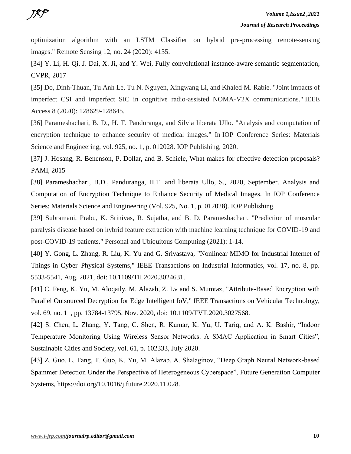optimization algorithm with an LSTM Classifier on hybrid pre-processing remote-sensing images." Remote Sensing 12, no. 24 (2020): 4135.

[34] Y. Li, H. Qi, J. Dai, X. Ji, and Y. Wei, Fully convolutional instance-aware semantic segmentation, CVPR, 2017

[35] Do, Dinh-Thuan, Tu Anh Le, Tu N. Nguyen, Xingwang Li, and Khaled M. Rabie. "Joint impacts of imperfect CSI and imperfect SIC in cognitive radio-assisted NOMA-V2X communications." IEEE Access 8 (2020): 128629-128645.

[36] Parameshachari, B. D., H. T. Panduranga, and Silvia liberata Ullo. "Analysis and computation of encryption technique to enhance security of medical images." In IOP Conference Series: Materials Science and Engineering, vol. 925, no. 1, p. 012028. IOP Publishing, 2020.

[37] J. Hosang, R. Benenson, P. Dollar, and B. Schiele, What makes for effective detection proposals? PAMI, 2015

[38] Parameshachari, B.D., Panduranga, H.T. and liberata Ullo, S., 2020, September. Analysis and Computation of Encryption Technique to Enhance Security of Medical Images. In IOP Conference Series: Materials Science and Engineering (Vol. 925, No. 1, p. 012028). IOP Publishing.

[39] Subramani, Prabu, K. Srinivas, R. Sujatha, and B. D. Parameshachari. "Prediction of muscular paralysis disease based on hybrid feature extraction with machine learning technique for COVID-19 and post-COVID-19 patients." Personal and Ubiquitous Computing (2021): 1-14.

[40] Y. Gong, L. Zhang, R. Liu, K. Yu and G. Srivastava, "Nonlinear MIMO for Industrial Internet of Things in Cyber–Physical Systems," IEEE Transactions on Industrial Informatics, vol. 17, no. 8, pp. 5533-5541, Aug. 2021, doi: 10.1109/TII.2020.3024631.

[41] C. Feng, K. Yu, M. Aloqaily, M. Alazab, Z. Lv and S. Mumtaz, "Attribute-Based Encryption with Parallel Outsourced Decryption for Edge Intelligent IoV," IEEE Transactions on Vehicular Technology, vol. 69, no. 11, pp. 13784-13795, Nov. 2020, doi: 10.1109/TVT.2020.3027568.

[42] S. Chen, L. Zhang, Y. Tang, C. Shen, R. Kumar, K. Yu, U. Tariq, and A. K. Bashir, "Indoor Temperature Monitoring Using Wireless Sensor Networks: A SMAC Application in Smart Cities", Sustainable Cities and Society, vol. 61, p. 102333, July 2020.

[43] Z. Guo, L. Tang, T. Guo, K. Yu, M. Alazab, A. Shalaginov, "Deep Graph Neural Network-based Spammer Detection Under the Perspective of Heterogeneous Cyberspace", Future Generation Computer Systems, https://doi.org/10.1016/j.future.2020.11.028.